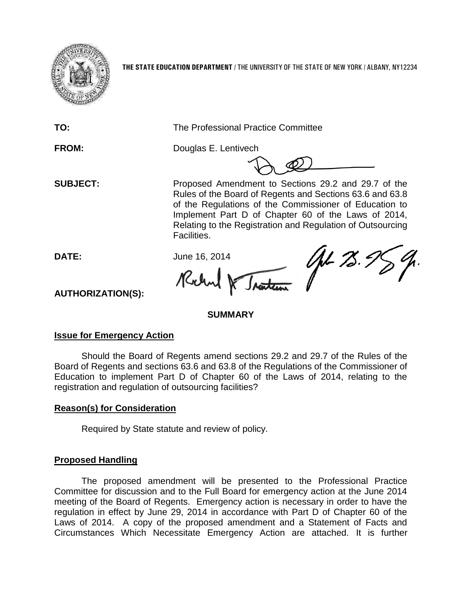

**THE STATE EDUCATION DEPARTMENT** / THE UNIVERSITY OF THE STATE OF NEW YORK / ALBANY, NY12234

**TO:** The Professional Practice Committee

**FROM:** Douglas E. Lentivech

**SUBJECT:** Proposed Amendment to Sections 29.2 and 29.7 of the Rules of the Board of Regents and Sections 63.6 and 63.8 of the Regulations of the Commissioner of Education to Implement Part D of Chapter 60 of the Laws of 2014, Relating to the Registration and Regulation of Outsourcing Facilities.

**DATE:** June 16, 2014 Kilm

AL 75.9

**AUTHORIZATION(S):**

# **SUMMARY**

# **Issue for Emergency Action**

Should the Board of Regents amend sections 29.2 and 29.7 of the Rules of the Board of Regents and sections 63.6 and 63.8 of the Regulations of the Commissioner of Education to implement Part D of Chapter 60 of the Laws of 2014, relating to the registration and regulation of outsourcing facilities?

# **Reason(s) for Consideration**

Required by State statute and review of policy.

# **Proposed Handling**

The proposed amendment will be presented to the Professional Practice Committee for discussion and to the Full Board for emergency action at the June 2014 meeting of the Board of Regents. Emergency action is necessary in order to have the regulation in effect by June 29, 2014 in accordance with Part D of Chapter 60 of the Laws of 2014. A copy of the proposed amendment and a Statement of Facts and Circumstances Which Necessitate Emergency Action are attached. It is further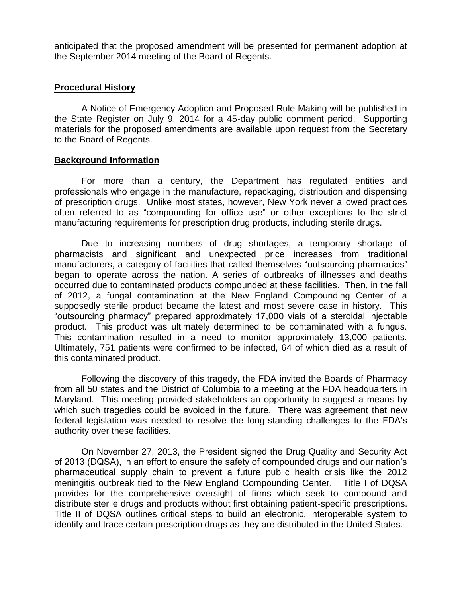anticipated that the proposed amendment will be presented for permanent adoption at the September 2014 meeting of the Board of Regents.

## **Procedural History**

A Notice of Emergency Adoption and Proposed Rule Making will be published in the State Register on July 9, 2014 for a 45-day public comment period. Supporting materials for the proposed amendments are available upon request from the Secretary to the Board of Regents.

## **Background Information**

For more than a century, the Department has regulated entities and professionals who engage in the manufacture, repackaging, distribution and dispensing of prescription drugs. Unlike most states, however, New York never allowed practices often referred to as "compounding for office use" or other exceptions to the strict manufacturing requirements for prescription drug products, including sterile drugs.

Due to increasing numbers of drug shortages, a temporary shortage of pharmacists and significant and unexpected price increases from traditional manufacturers, a category of facilities that called themselves "outsourcing pharmacies" began to operate across the nation. A series of outbreaks of illnesses and deaths occurred due to contaminated products compounded at these facilities. Then, in the fall of 2012, a fungal contamination at the New England Compounding Center of a supposedly sterile product became the latest and most severe case in history. This "outsourcing pharmacy" prepared approximately 17,000 vials of a steroidal injectable product. This product was ultimately determined to be contaminated with a fungus. This contamination resulted in a need to monitor approximately 13,000 patients. Ultimately, 751 patients were confirmed to be infected, 64 of which died as a result of this contaminated product.

Following the discovery of this tragedy, the FDA invited the Boards of Pharmacy from all 50 states and the District of Columbia to a meeting at the FDA headquarters in Maryland. This meeting provided stakeholders an opportunity to suggest a means by which such tragedies could be avoided in the future. There was agreement that new federal legislation was needed to resolve the long-standing challenges to the FDA's authority over these facilities.

On November 27, 2013, the President signed the Drug Quality and Security Act of 2013 (DQSA), in an effort to ensure the safety of compounded drugs and our nation's pharmaceutical supply chain to prevent a future public health crisis like the 2012 meningitis outbreak tied to the New England Compounding Center. Title I of DQSA provides for the comprehensive oversight of firms which seek to compound and distribute sterile drugs and products without first obtaining patient-specific prescriptions. Title II of DQSA outlines critical steps to build an electronic, interoperable system to identify and trace certain prescription drugs as they are distributed in the United States.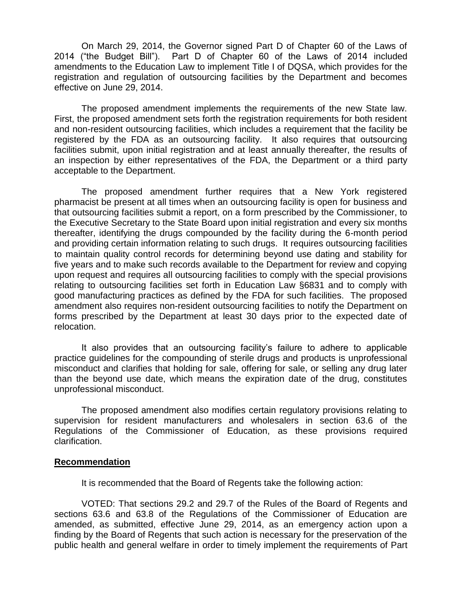On March 29, 2014, the Governor signed Part D of Chapter 60 of the Laws of 2014 ("the Budget Bill"). Part D of Chapter 60 of the Laws of 2014 included amendments to the Education Law to implement Title I of DQSA, which provides for the registration and regulation of outsourcing facilities by the Department and becomes effective on June 29, 2014.

The proposed amendment implements the requirements of the new State law. First, the proposed amendment sets forth the registration requirements for both resident and non-resident outsourcing facilities, which includes a requirement that the facility be registered by the FDA as an outsourcing facility. It also requires that outsourcing facilities submit, upon initial registration and at least annually thereafter, the results of an inspection by either representatives of the FDA, the Department or a third party acceptable to the Department.

The proposed amendment further requires that a New York registered pharmacist be present at all times when an outsourcing facility is open for business and that outsourcing facilities submit a report, on a form prescribed by the Commissioner, to the Executive Secretary to the State Board upon initial registration and every six months thereafter, identifying the drugs compounded by the facility during the 6-month period and providing certain information relating to such drugs. It requires outsourcing facilities to maintain quality control records for determining beyond use dating and stability for five years and to make such records available to the Department for review and copying upon request and requires all outsourcing facilities to comply with the special provisions relating to outsourcing facilities set forth in Education Law §6831 and to comply with good manufacturing practices as defined by the FDA for such facilities. The proposed amendment also requires non-resident outsourcing facilities to notify the Department on forms prescribed by the Department at least 30 days prior to the expected date of relocation.

It also provides that an outsourcing facility's failure to adhere to applicable practice guidelines for the compounding of sterile drugs and products is unprofessional misconduct and clarifies that holding for sale, offering for sale, or selling any drug later than the beyond use date, which means the expiration date of the drug, constitutes unprofessional misconduct.

The proposed amendment also modifies certain regulatory provisions relating to supervision for resident manufacturers and wholesalers in section 63.6 of the Regulations of the Commissioner of Education, as these provisions required clarification.

#### **Recommendation**

It is recommended that the Board of Regents take the following action:

VOTED: That sections 29.2 and 29.7 of the Rules of the Board of Regents and sections 63.6 and 63.8 of the Regulations of the Commissioner of Education are amended, as submitted, effective June 29, 2014, as an emergency action upon a finding by the Board of Regents that such action is necessary for the preservation of the public health and general welfare in order to timely implement the requirements of Part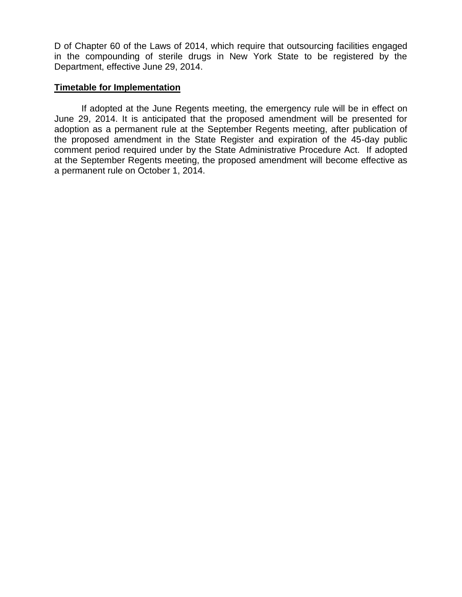D of Chapter 60 of the Laws of 2014, which require that outsourcing facilities engaged in the compounding of sterile drugs in New York State to be registered by the Department, effective June 29, 2014.

## **Timetable for Implementation**

If adopted at the June Regents meeting, the emergency rule will be in effect on June 29, 2014. It is anticipated that the proposed amendment will be presented for adoption as a permanent rule at the September Regents meeting, after publication of the proposed amendment in the State Register and expiration of the 45-day public comment period required under by the State Administrative Procedure Act. If adopted at the September Regents meeting, the proposed amendment will become effective as a permanent rule on October 1, 2014.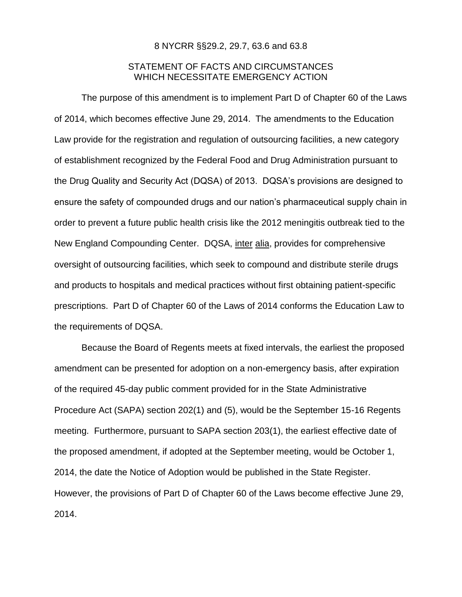#### 8 NYCRR §§29.2, 29.7, 63.6 and 63.8

## STATEMENT OF FACTS AND CIRCUMSTANCES WHICH NECESSITATE EMERGENCY ACTION

The purpose of this amendment is to implement Part D of Chapter 60 of the Laws of 2014, which becomes effective June 29, 2014. The amendments to the Education Law provide for the registration and regulation of outsourcing facilities, a new category of establishment recognized by the Federal Food and Drug Administration pursuant to the Drug Quality and Security Act (DQSA) of 2013. DQSA's provisions are designed to ensure the safety of compounded drugs and our nation's pharmaceutical supply chain in order to prevent a future public health crisis like the 2012 meningitis outbreak tied to the New England Compounding Center. DQSA, inter alia, provides for comprehensive oversight of outsourcing facilities, which seek to compound and distribute sterile drugs and products to hospitals and medical practices without first obtaining patient-specific prescriptions. Part D of Chapter 60 of the Laws of 2014 conforms the Education Law to the requirements of DQSA.

Because the Board of Regents meets at fixed intervals, the earliest the proposed amendment can be presented for adoption on a non-emergency basis, after expiration of the required 45-day public comment provided for in the State Administrative Procedure Act (SAPA) section 202(1) and (5), would be the September 15-16 Regents meeting. Furthermore, pursuant to SAPA section 203(1), the earliest effective date of the proposed amendment, if adopted at the September meeting, would be October 1, 2014, the date the Notice of Adoption would be published in the State Register. However, the provisions of Part D of Chapter 60 of the Laws become effective June 29, 2014.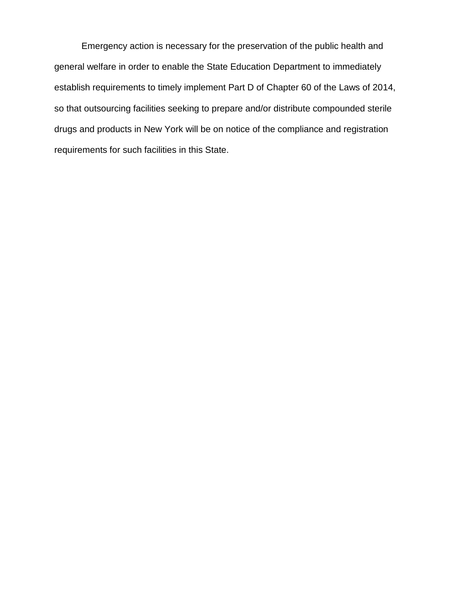Emergency action is necessary for the preservation of the public health and general welfare in order to enable the State Education Department to immediately establish requirements to timely implement Part D of Chapter 60 of the Laws of 2014, so that outsourcing facilities seeking to prepare and/or distribute compounded sterile drugs and products in New York will be on notice of the compliance and registration requirements for such facilities in this State.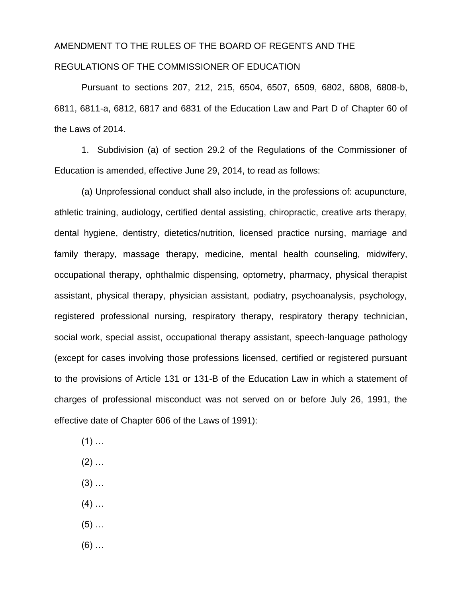# AMENDMENT TO THE RULES OF THE BOARD OF REGENTS AND THE REGULATIONS OF THE COMMISSIONER OF EDUCATION

Pursuant to sections 207, 212, 215, 6504, 6507, 6509, 6802, 6808, 6808-b, 6811, 6811-a, 6812, 6817 and 6831 of the Education Law and Part D of Chapter 60 of the Laws of 2014.

1. Subdivision (a) of section 29.2 of the Regulations of the Commissioner of Education is amended, effective June 29, 2014, to read as follows:

(a) Unprofessional conduct shall also include, in the professions of: acupuncture, athletic training, audiology, certified dental assisting, chiropractic, creative arts therapy, dental hygiene, dentistry, dietetics/nutrition, licensed practice nursing, marriage and family therapy, massage therapy, medicine, mental health counseling, midwifery, occupational therapy, ophthalmic dispensing, optometry, pharmacy, physical therapist assistant, physical therapy, physician assistant, podiatry, psychoanalysis, psychology, registered professional nursing, respiratory therapy, respiratory therapy technician, social work, special assist, occupational therapy assistant, speech-language pathology (except for cases involving those professions licensed, certified or registered pursuant to the provisions of Article 131 or 131-B of the Education Law in which a statement of charges of professional misconduct was not served on or before July 26, 1991, the effective date of Chapter 606 of the Laws of 1991):

- $(1)$  ...
- $(2)$  ...
- $(3)$  ...
- $(4)$  ...
- $(5)$  ...
- $(6)$  …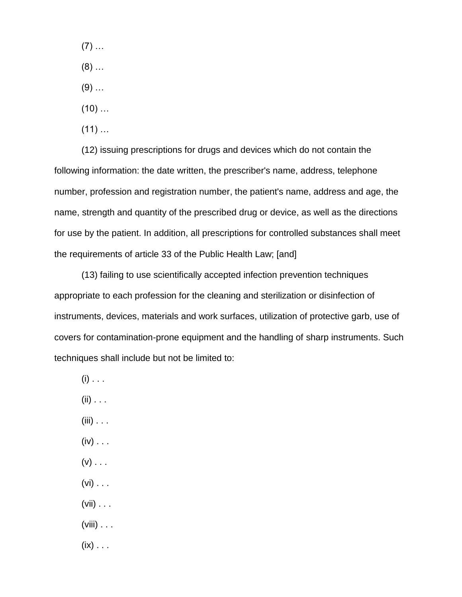$(7)$  ...  $(8)$  ...  $(9)$  ...  $(10)$  ...  $(11)$  ...

(12) issuing prescriptions for drugs and devices which do not contain the following information: the date written, the prescriber's name, address, telephone number, profession and registration number, the patient's name, address and age, the name, strength and quantity of the prescribed drug or device, as well as the directions for use by the patient. In addition, all prescriptions for controlled substances shall meet the requirements of article 33 of the Public Health Law; [and]

(13) failing to use scientifically accepted infection prevention techniques appropriate to each profession for the cleaning and sterilization or disinfection of instruments, devices, materials and work surfaces, utilization of protective garb, use of covers for contamination-prone equipment and the handling of sharp instruments. Such techniques shall include but not be limited to:

- $(i)$  . . .
- $(ii)$  . . .
- $(iii) \ldots$
- $(iv) \ldots$
- $(v)$  . . .
- $(vi) \ldots$
- $(vii) \ldots$
- $(viii) \ldots$
- $(ix) \ldots$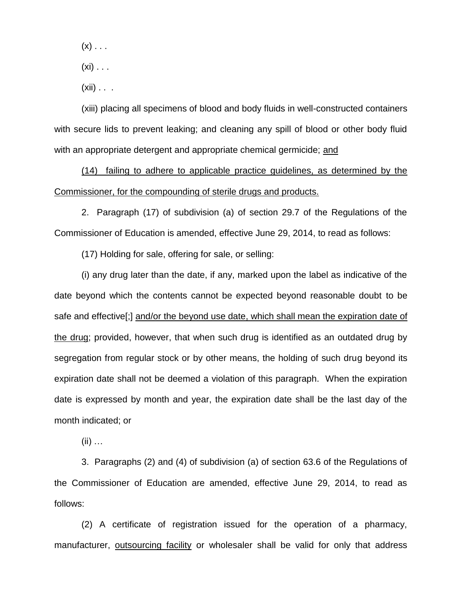$(x)$  . . .

- $(xi)$  . . .
- $(xii)$  . . .

(xiii) placing all specimens of blood and body fluids in well-constructed containers with secure lids to prevent leaking; and cleaning any spill of blood or other body fluid with an appropriate detergent and appropriate chemical germicide; and

(14) failing to adhere to applicable practice guidelines, as determined by the Commissioner, for the compounding of sterile drugs and products.

2. Paragraph (17) of subdivision (a) of section 29.7 of the Regulations of the Commissioner of Education is amended, effective June 29, 2014, to read as follows:

(17) Holding for sale, offering for sale, or selling:

(i) any drug later than the date, if any, marked upon the label as indicative of the date beyond which the contents cannot be expected beyond reasonable doubt to be safe and effective[;] and/or the beyond use date, which shall mean the expiration date of the drug; provided, however, that when such drug is identified as an outdated drug by segregation from regular stock or by other means, the holding of such drug beyond its expiration date shall not be deemed a violation of this paragraph. When the expiration date is expressed by month and year, the expiration date shall be the last day of the month indicated; or

 $(ii)$  …

3. Paragraphs (2) and (4) of subdivision (a) of section 63.6 of the Regulations of the Commissioner of Education are amended, effective June 29, 2014, to read as follows:

(2) A certificate of registration issued for the operation of a pharmacy, manufacturer, outsourcing facility or wholesaler shall be valid for only that address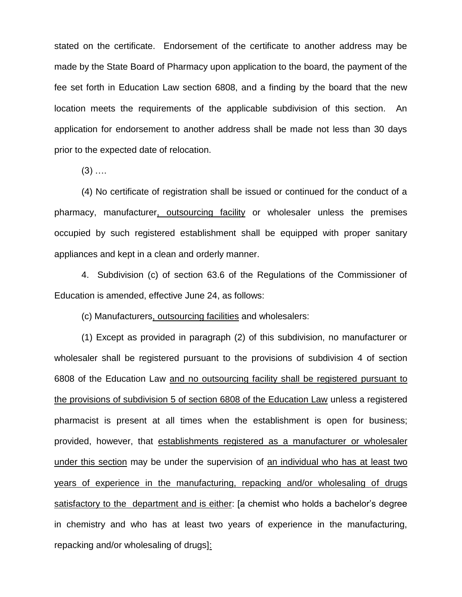stated on the certificate. Endorsement of the certificate to another address may be made by the State Board of Pharmacy upon application to the board, the payment of the fee set forth in Education Law section 6808, and a finding by the board that the new location meets the requirements of the applicable subdivision of this section. An application for endorsement to another address shall be made not less than 30 days prior to the expected date of relocation.

 $(3)$  ....

(4) No certificate of registration shall be issued or continued for the conduct of a pharmacy, manufacturer, outsourcing facility or wholesaler unless the premises occupied by such registered establishment shall be equipped with proper sanitary appliances and kept in a clean and orderly manner.

4. Subdivision (c) of section 63.6 of the Regulations of the Commissioner of Education is amended, effective June 24, as follows:

(c) Manufacturers, outsourcing facilities and wholesalers:

(1) Except as provided in paragraph (2) of this subdivision, no manufacturer or wholesaler shall be registered pursuant to the provisions of subdivision 4 of section 6808 of the Education Law and no outsourcing facility shall be registered pursuant to the provisions of subdivision 5 of section 6808 of the Education Law unless a registered pharmacist is present at all times when the establishment is open for business; provided, however, that establishments registered as a manufacturer or wholesaler under this section may be under the supervision of an individual who has at least two years of experience in the manufacturing, repacking and/or wholesaling of drugs satisfactory to the department and is either: [a chemist who holds a bachelor's degree in chemistry and who has at least two years of experience in the manufacturing, repacking and/or wholesaling of drugs]: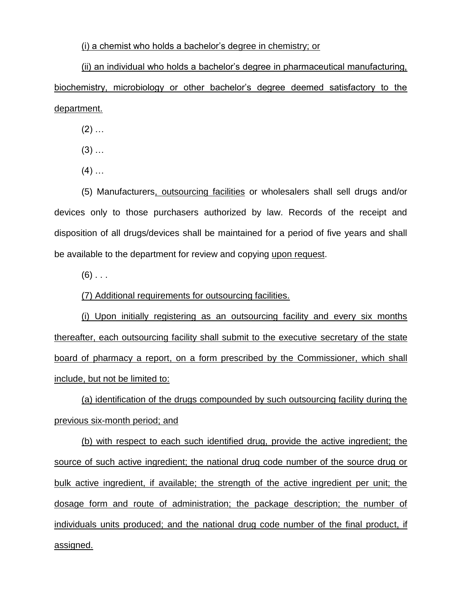#### (i) a chemist who holds a bachelor's degree in chemistry; or

(ii) an individual who holds a bachelor's degree in pharmaceutical manufacturing, biochemistry, microbiology or other bachelor's degree deemed satisfactory to the department.

 $(2)$  ...

- $(3)$  ...
- $(4)$  …

(5) Manufacturers, outsourcing facilities or wholesalers shall sell drugs and/or devices only to those purchasers authorized by law. Records of the receipt and disposition of all drugs/devices shall be maintained for a period of five years and shall be available to the department for review and copying upon request.

 $(6)$  ...

(7) Additional requirements for outsourcing facilities.

(i) Upon initially registering as an outsourcing facility and every six months thereafter, each outsourcing facility shall submit to the executive secretary of the state board of pharmacy a report, on a form prescribed by the Commissioner, which shall include, but not be limited to:

(a) identification of the drugs compounded by such outsourcing facility during the previous six-month period; and

(b) with respect to each such identified drug, provide the active ingredient; the source of such active ingredient; the national drug code number of the source drug or bulk active ingredient, if available; the strength of the active ingredient per unit; the dosage form and route of administration; the package description; the number of individuals units produced; and the national drug code number of the final product, if assigned.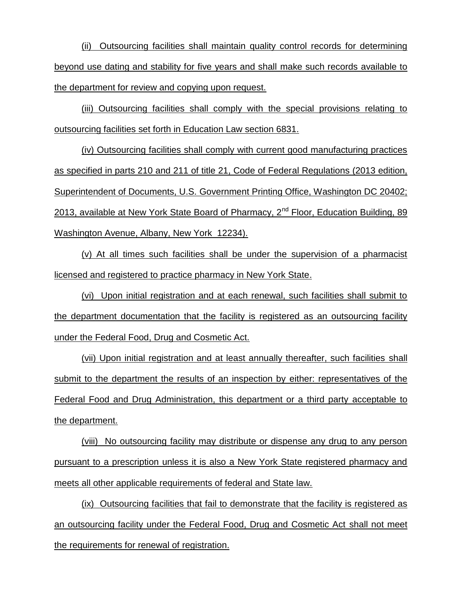(ii) Outsourcing facilities shall maintain quality control records for determining beyond use dating and stability for five years and shall make such records available to the department for review and copying upon request.

(iii) Outsourcing facilities shall comply with the special provisions relating to outsourcing facilities set forth in Education Law section 6831.

(iv) Outsourcing facilities shall comply with current good manufacturing practices as specified in parts 210 and 211 of title 21, Code of Federal Regulations (2013 edition, Superintendent of Documents, U.S. Government Printing Office, Washington DC 20402; 2013, available at New York State Board of Pharmacy,  $2^{nd}$  Floor, Education Building, 89 Washington Avenue, Albany, New York 12234).

(v) At all times such facilities shall be under the supervision of a pharmacist licensed and registered to practice pharmacy in New York State.

(vi) Upon initial registration and at each renewal, such facilities shall submit to the department documentation that the facility is registered as an outsourcing facility under the Federal Food, Drug and Cosmetic Act.

(vii) Upon initial registration and at least annually thereafter, such facilities shall submit to the department the results of an inspection by either: representatives of the Federal Food and Drug Administration, this department or a third party acceptable to the department.

(viii) No outsourcing facility may distribute or dispense any drug to any person pursuant to a prescription unless it is also a New York State registered pharmacy and meets all other applicable requirements of federal and State law.

(ix) Outsourcing facilities that fail to demonstrate that the facility is registered as an outsourcing facility under the Federal Food, Drug and Cosmetic Act shall not meet the requirements for renewal of registration.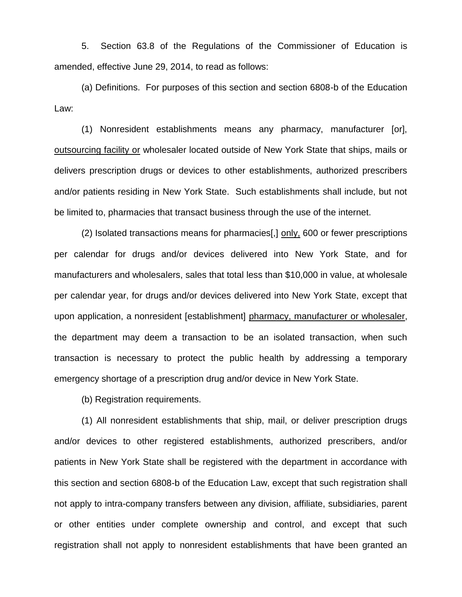5. Section 63.8 of the Regulations of the Commissioner of Education is amended, effective June 29, 2014, to read as follows:

(a) Definitions. For purposes of this section and section 6808-b of the Education Law:

(1) Nonresident establishments means any pharmacy, manufacturer [or], outsourcing facility or wholesaler located outside of New York State that ships, mails or delivers prescription drugs or devices to other establishments, authorized prescribers and/or patients residing in New York State. Such establishments shall include, but not be limited to, pharmacies that transact business through the use of the internet.

(2) Isolated transactions means for pharmacies[,] only, 600 or fewer prescriptions per calendar for drugs and/or devices delivered into New York State, and for manufacturers and wholesalers, sales that total less than \$10,000 in value, at wholesale per calendar year, for drugs and/or devices delivered into New York State, except that upon application, a nonresident [establishment] pharmacy, manufacturer or wholesaler, the department may deem a transaction to be an isolated transaction, when such transaction is necessary to protect the public health by addressing a temporary emergency shortage of a prescription drug and/or device in New York State.

(b) Registration requirements.

(1) All nonresident establishments that ship, mail, or deliver prescription drugs and/or devices to other registered establishments, authorized prescribers, and/or patients in New York State shall be registered with the department in accordance with this section and section 6808-b of the Education Law, except that such registration shall not apply to intra-company transfers between any division, affiliate, subsidiaries, parent or other entities under complete ownership and control, and except that such registration shall not apply to nonresident establishments that have been granted an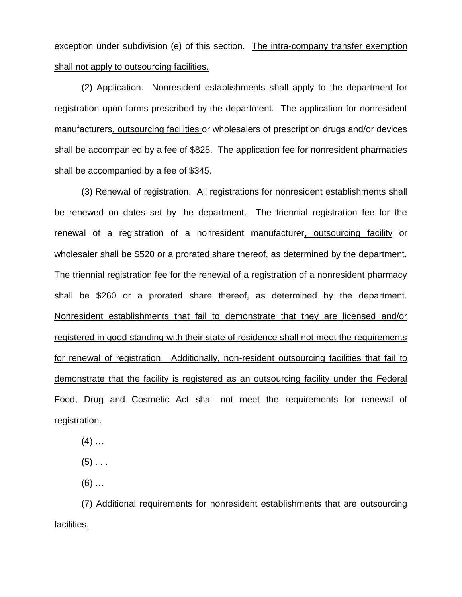exception under subdivision (e) of this section. The intra-company transfer exemption shall not apply to outsourcing facilities.

(2) Application. Nonresident establishments shall apply to the department for registration upon forms prescribed by the department. The application for nonresident manufacturers, outsourcing facilities or wholesalers of prescription drugs and/or devices shall be accompanied by a fee of \$825. The application fee for nonresident pharmacies shall be accompanied by a fee of \$345.

(3) Renewal of registration. All registrations for nonresident establishments shall be renewed on dates set by the department. The triennial registration fee for the renewal of a registration of a nonresident manufacturer, outsourcing facility or wholesaler shall be \$520 or a prorated share thereof, as determined by the department. The triennial registration fee for the renewal of a registration of a nonresident pharmacy shall be \$260 or a prorated share thereof, as determined by the department. Nonresident establishments that fail to demonstrate that they are licensed and/or registered in good standing with their state of residence shall not meet the requirements for renewal of registration. Additionally, non-resident outsourcing facilities that fail to demonstrate that the facility is registered as an outsourcing facility under the Federal Food, Drug and Cosmetic Act shall not meet the requirements for renewal of registration.

 $(4)$  …

 $(5)$  . . .

 $(6)$  ...

(7) Additional requirements for nonresident establishments that are outsourcing facilities.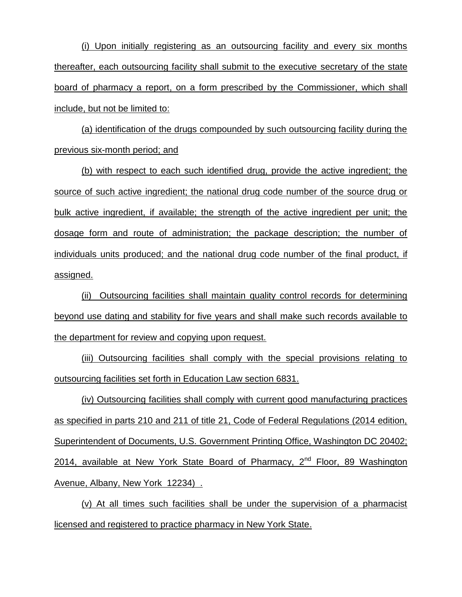(i) Upon initially registering as an outsourcing facility and every six months thereafter, each outsourcing facility shall submit to the executive secretary of the state board of pharmacy a report, on a form prescribed by the Commissioner, which shall include, but not be limited to:

(a) identification of the drugs compounded by such outsourcing facility during the previous six-month period; and

(b) with respect to each such identified drug, provide the active ingredient; the source of such active ingredient; the national drug code number of the source drug or bulk active ingredient, if available; the strength of the active ingredient per unit; the dosage form and route of administration; the package description; the number of individuals units produced; and the national drug code number of the final product, if assigned.

(ii) Outsourcing facilities shall maintain quality control records for determining beyond use dating and stability for five years and shall make such records available to the department for review and copying upon request.

(iii) Outsourcing facilities shall comply with the special provisions relating to outsourcing facilities set forth in Education Law section 6831.

(iv) Outsourcing facilities shall comply with current good manufacturing practices as specified in parts 210 and 211 of title 21, Code of Federal Regulations (2014 edition, Superintendent of Documents, U.S. Government Printing Office, Washington DC 20402; 2014, available at New York State Board of Pharmacy, 2<sup>nd</sup> Floor, 89 Washington Avenue, Albany, New York 12234) .

(v) At all times such facilities shall be under the supervision of a pharmacist licensed and registered to practice pharmacy in New York State.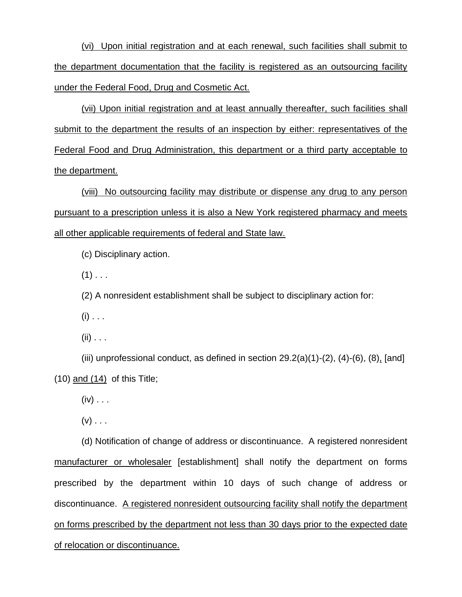(vi) Upon initial registration and at each renewal, such facilities shall submit to the department documentation that the facility is registered as an outsourcing facility under the Federal Food, Drug and Cosmetic Act.

(vii) Upon initial registration and at least annually thereafter, such facilities shall submit to the department the results of an inspection by either: representatives of the Federal Food and Drug Administration, this department or a third party acceptable to the department.

(viii) No outsourcing facility may distribute or dispense any drug to any person pursuant to a prescription unless it is also a New York registered pharmacy and meets all other applicable requirements of federal and State law.

(c) Disciplinary action.

 $(1)$  . . .

(2) A nonresident establishment shall be subject to disciplinary action for:

 $(i)$  . . .

 $(ii)$  . . .

(iii) unprofessional conduct, as defined in section  $29.2(a)(1)-(2)$ ,  $(4)-(6)$ ,  $(8)$ , [and] (10) and (14) of this Title;

 $(iv)$  . . .

 $(v)$  . . .

(d) Notification of change of address or discontinuance. A registered nonresident manufacturer or wholesaler [establishment] shall notify the department on forms prescribed by the department within 10 days of such change of address or discontinuance. A registered nonresident outsourcing facility shall notify the department on forms prescribed by the department not less than 30 days prior to the expected date of relocation or discontinuance.